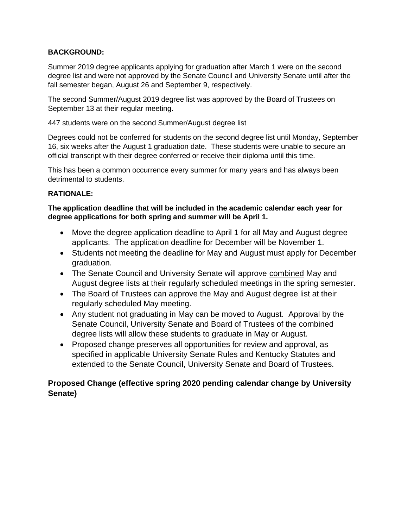## **BACKGROUND:**

Summer 2019 degree applicants applying for graduation after March 1 were on the second degree list and were not approved by the Senate Council and University Senate until after the fall semester began, August 26 and September 9, respectively.

The second Summer/August 2019 degree list was approved by the Board of Trustees on September 13 at their regular meeting.

447 students were on the second Summer/August degree list

Degrees could not be conferred for students on the second degree list until Monday, September 16, six weeks after the August 1 graduation date. These students were unable to secure an official transcript with their degree conferred or receive their diploma until this time.

This has been a common occurrence every summer for many years and has always been detrimental to students.

# **RATIONALE:**

**The application deadline that will be included in the academic calendar each year for degree applications for both spring and summer will be April 1.** 

- Move the degree application deadline to April 1 for all May and August degree applicants. The application deadline for December will be November 1.
- Students not meeting the deadline for May and August must apply for December graduation.
- The Senate Council and University Senate will approve combined May and August degree lists at their regularly scheduled meetings in the spring semester.
- The Board of Trustees can approve the May and August degree list at their regularly scheduled May meeting.
- Any student not graduating in May can be moved to August. Approval by the Senate Council, University Senate and Board of Trustees of the combined degree lists will allow these students to graduate in May or August.
- Proposed change preserves all opportunities for review and approval, as specified in applicable University Senate Rules and Kentucky Statutes and extended to the Senate Council, University Senate and Board of Trustees.

# **Proposed Change (effective spring 2020 pending calendar change by University Senate)**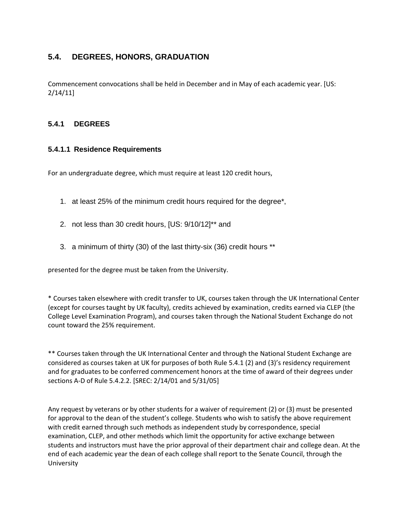# **5.4. DEGREES, HONORS, GRADUATION**

Commencement convocations shall be held in December and in May of each academic year. [US: 2/14/11]

#### **5.4.1 DEGREES**

#### **5.4.1.1 Residence Requirements**

For an undergraduate degree, which must require at least 120 credit hours,

- 1. at least 25% of the minimum credit hours required for the degree\*,
- 2. not less than 30 credit hours, [US: 9/10/12]\*\* and
- 3. a minimum of thirty (30) of the last thirty-six (36) credit hours \*\*

presented for the degree must be taken from the University.

\* Courses taken elsewhere with credit transfer to UK, courses taken through the UK International Center (except for courses taught by UK faculty), credits achieved by examination, credits earned via CLEP (the College Level Examination Program), and courses taken through the National Student Exchange do not count toward the 25% requirement.

\*\* Courses taken through the UK International Center and through the National Student Exchange are considered as courses taken at UK for purposes of both Rule 5.4.1 (2) and (3)'s residency requirement and for graduates to be conferred commencement honors at the time of award of their degrees under sections A-D of Rule 5.4.2.2. [SREC: 2/14/01 and 5/31/05]

Any request by veterans or by other students for a waiver of requirement (2) or (3) must be presented for approval to the dean of the student's college. Students who wish to satisfy the above requirement with credit earned through such methods as independent study by correspondence, special examination, CLEP, and other methods which limit the opportunity for active exchange between students and instructors must have the prior approval of their department chair and college dean. At the end of each academic year the dean of each college shall report to the Senate Council, through the University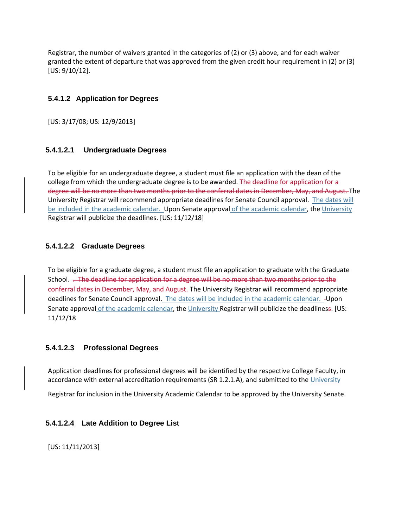Registrar, the number of waivers granted in the categories of (2) or (3) above, and for each waiver granted the extent of departure that was approved from the given credit hour requirement in (2) or (3) [US: 9/10/12].

## **5.4.1.2 Application for Degrees**

[US: 3/17/08; US: 12/9/2013]

## **5.4.1.2.1 Undergraduate Degrees**

To be eligible for an undergraduate degree, a student must file an application with the dean of the college from which the undergraduate degree is to be awarded. The deadline for application for a degree will be no more than two months prior to the conferral dates in December, May, and August. The University Registrar will recommend appropriate deadlines for Senate Council approval. The dates will be included in the academic calendar. Upon Senate approval of the academic calendar, the University Registrar will publicize the deadlines. [US: 11/12/18]

## **5.4.1.2.2 Graduate Degrees**

To be eligible for a graduate degree, a student must file an application to graduate with the Graduate School. . The deadline for application for a degree will be no more than two months prior to the conferral dates in December, May, and August. The University Registrar will recommend appropriate deadlines for Senate Council approval. The dates will be included in the academic calendar. - Upon Senate approval of the academic calendar, the University Registrar will publicize the deadliness. [US: 11/12/18

#### **5.4.1.2.3 Professional Degrees**

Application deadlines for professional degrees will be identified by the respective College Faculty, in accordance with external accreditation requirements (SR 1.2.1.A), and submitted to the University

Registrar for inclusion in the University Academic Calendar to be approved by the University Senate.

# **5.4.1.2.4 Late Addition to Degree List**

[US: 11/11/2013]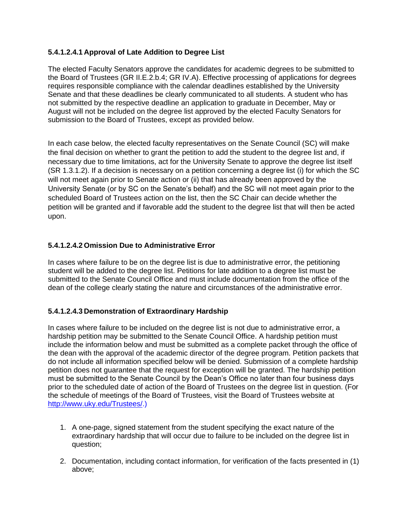## **5.4.1.2.4.1 Approval of Late Addition to Degree List**

The elected Faculty Senators approve the candidates for academic degrees to be submitted to the Board of Trustees (GR II.E.2.b.4; GR IV.A). Effective processing of applications for degrees requires responsible compliance with the calendar deadlines established by the University Senate and that these deadlines be clearly communicated to all students. A student who has not submitted by the respective deadline an application to graduate in December, May or August will not be included on the degree list approved by the elected Faculty Senators for submission to the Board of Trustees, except as provided below.

In each case below, the elected faculty representatives on the Senate Council (SC) will make the final decision on whether to grant the petition to add the student to the degree list and, if necessary due to time limitations, act for the University Senate to approve the degree list itself (SR 1.3.1.2). If a decision is necessary on a petition concerning a degree list (i) for which the SC will not meet again prior to Senate action or (ii) that has already been approved by the University Senate (or by SC on the Senate's behalf) and the SC will not meet again prior to the scheduled Board of Trustees action on the list, then the SC Chair can decide whether the petition will be granted and if favorable add the student to the degree list that will then be acted upon.

#### **5.4.1.2.4.2 Omission Due to Administrative Error**

In cases where failure to be on the degree list is due to administrative error, the petitioning student will be added to the degree list. Petitions for late addition to a degree list must be submitted to the Senate Council Office and must include documentation from the office of the dean of the college clearly stating the nature and circumstances of the administrative error.

#### **5.4.1.2.4.3 Demonstration of Extraordinary Hardship**

In cases where failure to be included on the degree list is not due to administrative error, a hardship petition may be submitted to the Senate Council Office. A hardship petition must include the information below and must be submitted as a complete packet through the office of the dean with the approval of the academic director of the degree program. Petition packets that do not include all information specified below will be denied. Submission of a complete hardship petition does not guarantee that the request for exception will be granted. The hardship petition must be submitted to the Senate Council by the Dean's Office no later than four business days prior to the scheduled date of action of the Board of Trustees on the degree list in question. (For the schedule of meetings of the Board of Trustees, visit the Board of Trustees website at [http://www.uky.edu/Trustees/.](http://www.uky.edu/Trustees/))

- 1. A one-page, signed statement from the student specifying the exact nature of the extraordinary hardship that will occur due to failure to be included on the degree list in question;
- 2. Documentation, including contact information, for verification of the facts presented in (1) above;